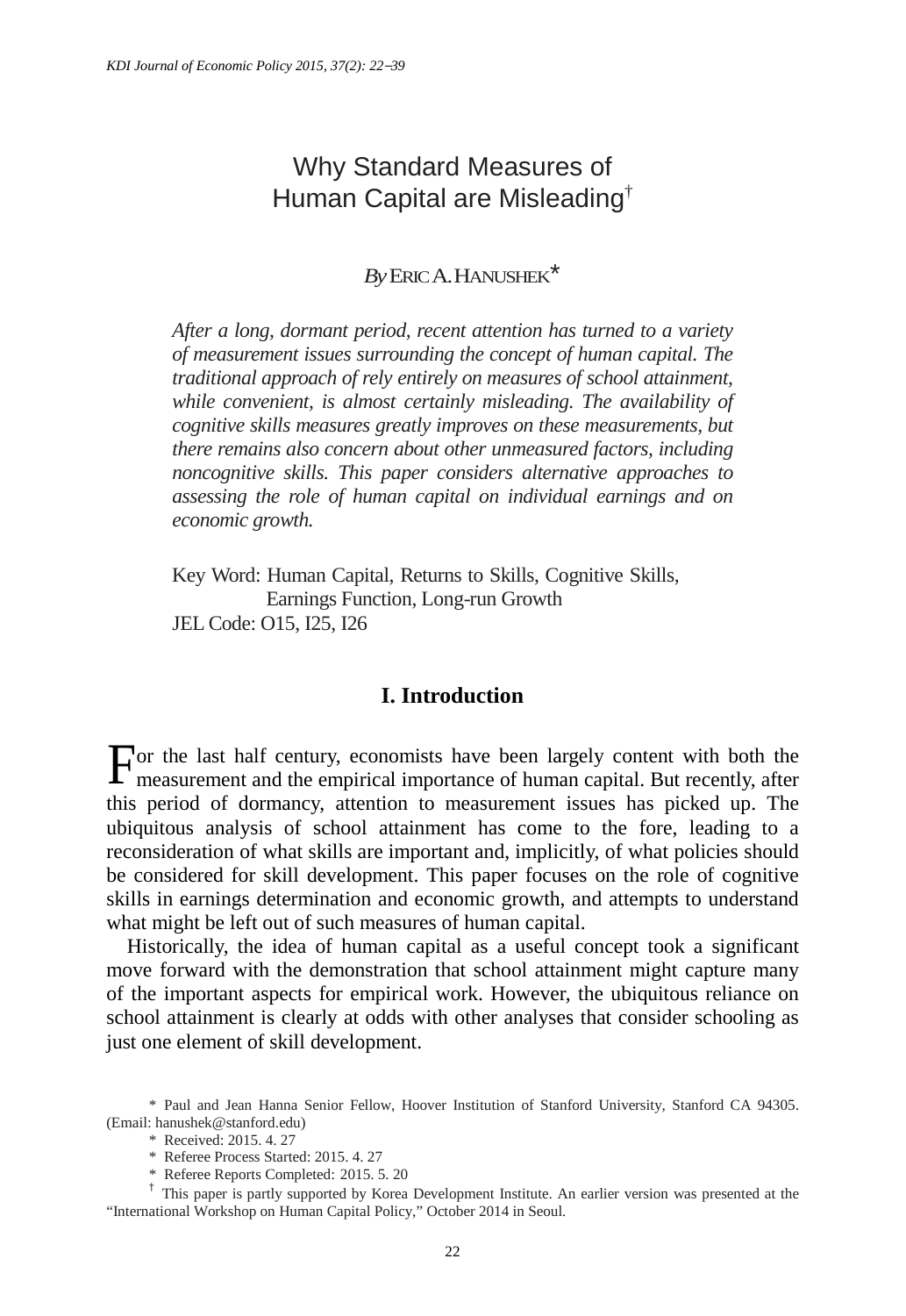# Why Standard Measures of Human Capital are Misleading†

# *By*ERIC A.HANUSHEK[\\*](#page-0-0)

*After a long, dormant period, recent attention has turned to a variety of measurement issues surrounding the concept of human capital. The traditional approach of rely entirely on measures of school attainment, while convenient, is almost certainly misleading. The availability of cognitive skills measures greatly improves on these measurements, but there remains also concern about other unmeasured factors, including noncognitive skills. This paper considers alternative approaches to assessing the role of human capital on individual earnings and on economic growth.*

Key Word: Human Capital, Returns to Skills, Cognitive Skills, Earnings Function, Long-run Growth JEL Code: O15, I25, I26

# **I. Introduction**

or the last half century, economists have been largely content with both the For the last half century, economists have been largely content with both the measurement and the empirical importance of human capital. But recently, after this period of dormancy, attention to measurement issues has picked up. The ubiquitous analysis of school attainment has come to the fore, leading to a reconsideration of what skills are important and, implicitly, of what policies should be considered for skill development. This paper focuses on the role of cognitive skills in earnings determination and economic growth, and attempts to understand what might be left out of such measures of human capital.

Historically, the idea of human capital as a useful concept took a significant move forward with the demonstration that school attainment might capture many of the important aspects for empirical work. However, the ubiquitous reliance on school attainment is clearly at odds with other analyses that consider schooling as just one element of skill development.

\* Received: 2015. 4. 27

<span id="page-0-0"></span><sup>\*</sup> Paul and Jean Hanna Senior Fellow, Hoover Institution of Stanford University, Stanford CA 94305. (Email: hanushek@stanford.edu)

<sup>\*</sup> Referee Process Started: 2015. 4. 27

<sup>\*</sup> Referee Reports Completed: 2015. 5. 20

<sup>†</sup> This paper is partly supported by Korea Development Institute. An earlier version was presented at the "International Workshop on Human Capital Policy," October 2014 in Seoul.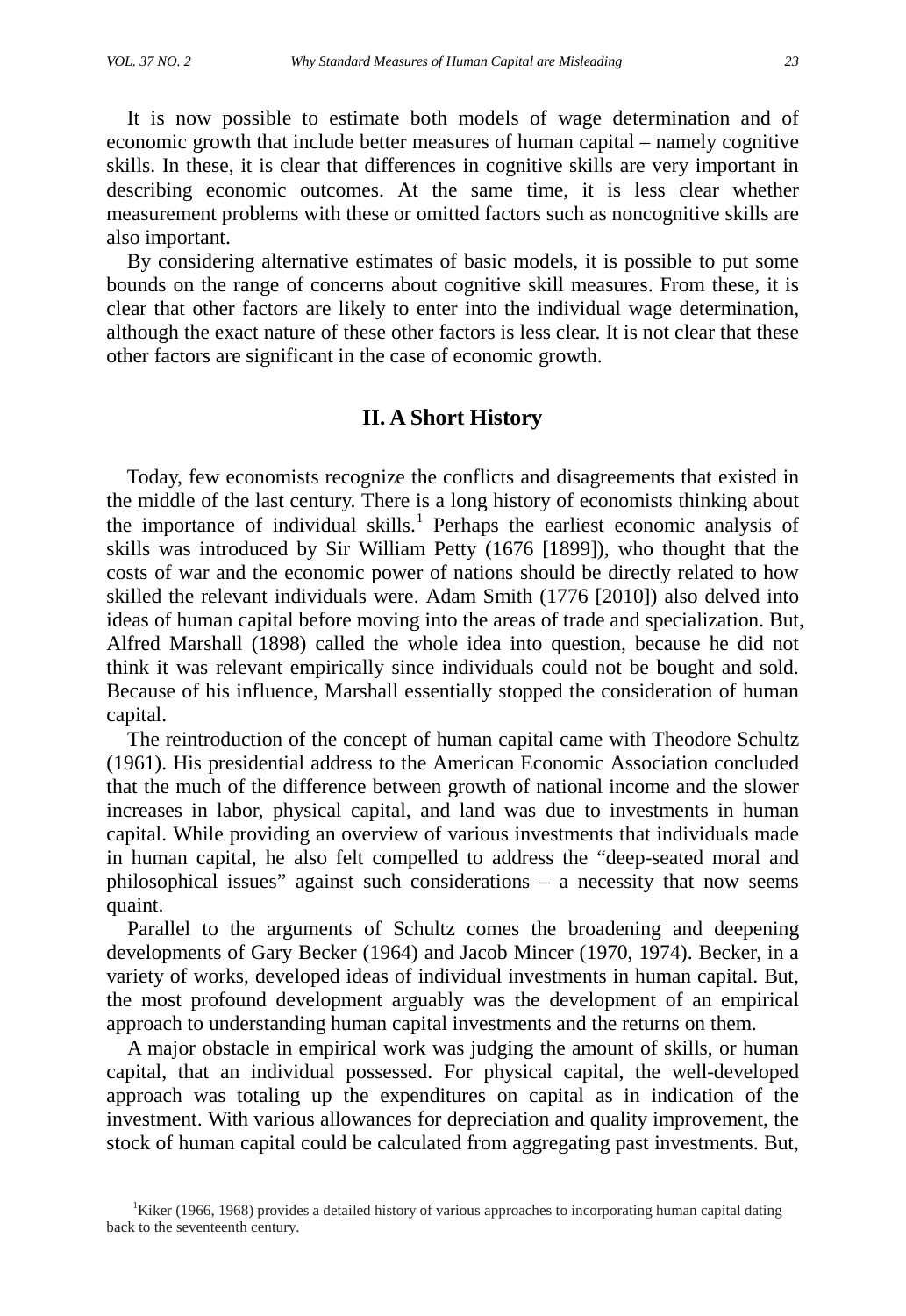It is now possible to estimate both models of wage determination and of economic growth that include better measures of human capital – namely cognitive skills. In these, it is clear that differences in cognitive skills are very important in describing economic outcomes. At the same time, it is less clear whether measurement problems with these or omitted factors such as noncognitive skills are also important.

By considering alternative estimates of basic models, it is possible to put some bounds on the range of concerns about cognitive skill measures. From these, it is clear that other factors are likely to enter into the individual wage determination, although the exact nature of these other factors is less clear. It is not clear that these other factors are significant in the case of economic growth.

### **II. A Short History**

Today, few economists recognize the conflicts and disagreements that existed in the middle of the last century. There is a long history of economists thinking about the importance of individual skills.<sup>[1](#page-1-0)</sup> Perhaps the earliest economic analysis of skills was introduced by Sir William Petty (1676 [1899]), who thought that the costs of war and the economic power of nations should be directly related to how skilled the relevant individuals were. Adam Smith (1776 [2010]) also delved into ideas of human capital before moving into the areas of trade and specialization. But, Alfred Marshall (1898) called the whole idea into question, because he did not think it was relevant empirically since individuals could not be bought and sold. Because of his influence, Marshall essentially stopped the consideration of human capital.

The reintroduction of the concept of human capital came with Theodore Schultz (1961). His presidential address to the American Economic Association concluded that the much of the difference between growth of national income and the slower increases in labor, physical capital, and land was due to investments in human capital. While providing an overview of various investments that individuals made in human capital, he also felt compelled to address the "deep-seated moral and philosophical issues" against such considerations – a necessity that now seems quaint.

Parallel to the arguments of Schultz comes the broadening and deepening developments of Gary Becker (1964) and Jacob Mincer (1970, 1974). Becker, in a variety of works, developed ideas of individual investments in human capital. But, the most profound development arguably was the development of an empirical approach to understanding human capital investments and the returns on them.

A major obstacle in empirical work was judging the amount of skills, or human capital, that an individual possessed. For physical capital, the well-developed approach was totaling up the expenditures on capital as in indication of the investment. With various allowances for depreciation and quality improvement, the stock of human capital could be calculated from aggregating past investments. But,

<span id="page-1-0"></span><sup>&</sup>lt;sup>1</sup>Kiker (1966, 1968) provides a detailed history of various approaches to incorporating human capital dating back to the seventeenth century.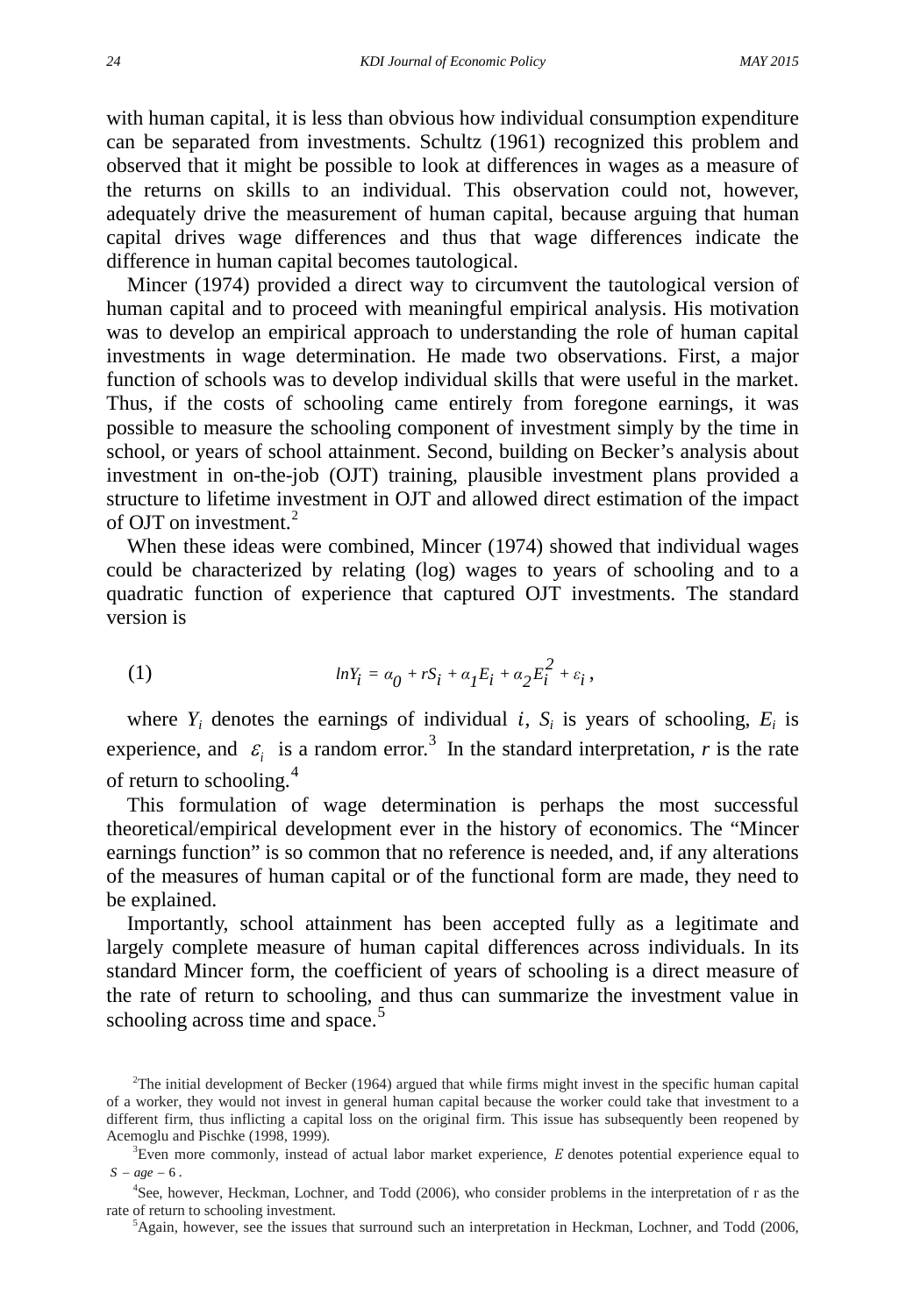with human capital, it is less than obvious how individual consumption expenditure can be separated from investments. Schultz (1961) recognized this problem and observed that it might be possible to look at differences in wages as a measure of the returns on skills to an individual. This observation could not, however, adequately drive the measurement of human capital, because arguing that human capital drives wage differences and thus that wage differences indicate the difference in human capital becomes tautological.

Mincer (1974) provided a direct way to circumvent the tautological version of human capital and to proceed with meaningful empirical analysis. His motivation was to develop an empirical approach to understanding the role of human capital investments in wage determination. He made two observations. First, a major function of schools was to develop individual skills that were useful in the market. Thus, if the costs of schooling came entirely from foregone earnings, it was possible to measure the schooling component of investment simply by the time in school, or years of school attainment. Second, building on Becker's analysis about investment in on-the-job (OJT) training, plausible investment plans provided a structure to lifetime investment in OJT and allowed direct estimation of the impact of OJT on investment.<sup>[2](#page-2-0)</sup>

When these ideas were combined, Mincer (1974) showed that individual wages could be characterized by relating (log) wages to years of schooling and to a quadratic function of experience that captured OJT investments. The standard version is

(1)  $lnY_i = \alpha_0 + rS_i + \alpha_1 E_i + \alpha_2 E_i^2 + \varepsilon_i,$ 

where  $Y_i$  denotes the earnings of individual i,  $S_i$  is years of schooling,  $E_i$  is experience, and  $\varepsilon_i$  is a random error.<sup>[3](#page-2-1)</sup> In the standard interpretation, *r* is the rate of return to schooling. $4$ 

This formulation of wage determination is perhaps the most successful theoretical/empirical development ever in the history of economics. The "Mincer earnings function" is so common that no reference is needed, and, if any alterations of the measures of human capital or of the functional form are made, they need to be explained.

Importantly, school attainment has been accepted fully as a legitimate and largely complete measure of human capital differences across individuals. In its standard Mincer form, the coefficient of years of schooling is a direct measure of the rate of return to schooling, and thus can summarize the investment value in schooling across time and space.<sup>[5](#page-2-3)</sup>

<span id="page-2-0"></span><sup>2</sup> The initial development of Becker (1964) argued that while firms might invest in the specific human capital of a worker, they would not invest in general human capital because the worker could take that investment to a different firm, thus inflicting a capital loss on the original firm. This issue has subsequently been reopened by Acemoglu and Pischke (1998, 1999).

<span id="page-2-1"></span> ${}^{3}$ Even more commonly, instead of actual labor market experience,  $E$  denotes potential experience equal to  $S - age - 6$ .

<span id="page-2-3"></span><span id="page-2-2"></span><sup>4</sup> See, however, Heckman, Lochner, and Todd (2006), who consider problems in the interpretation of r as the rate of return to schooling investment.

 ${}^{5}$ Again, however, see the issues that surround such an interpretation in Heckman, Lochner, and Todd (2006,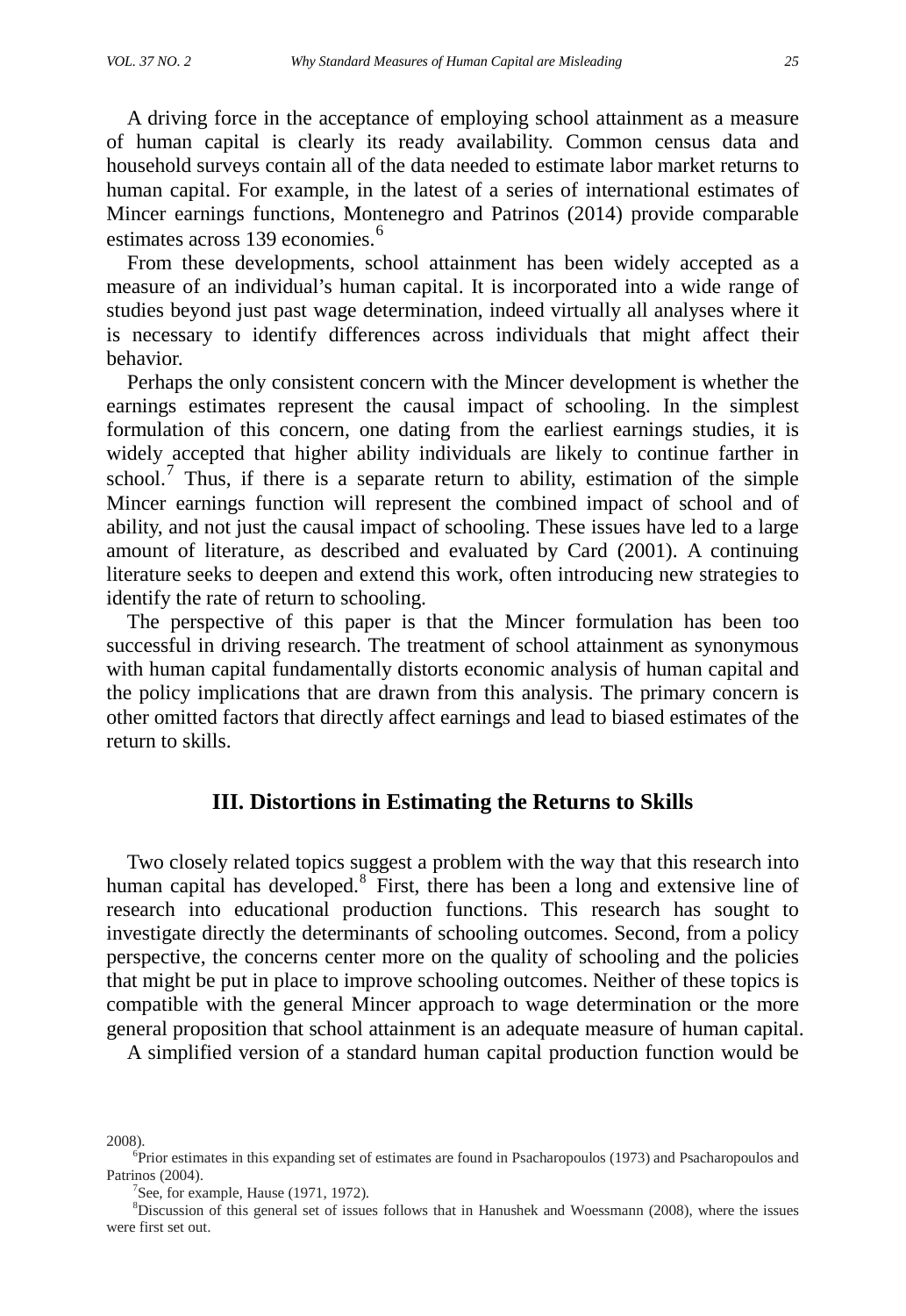A driving force in the acceptance of employing school attainment as a measure of human capital is clearly its ready availability. Common census data and household surveys contain all of the data needed to estimate labor market returns to human capital. For example, in the latest of a series of international estimates of Mincer earnings functions, Montenegro and Patrinos (2014) provide comparable estimates across 139 economies<sup>[6](#page-3-0)</sup>

From these developments, school attainment has been widely accepted as a measure of an individual's human capital. It is incorporated into a wide range of studies beyond just past wage determination, indeed virtually all analyses where it is necessary to identify differences across individuals that might affect their behavior.

Perhaps the only consistent concern with the Mincer development is whether the earnings estimates represent the causal impact of schooling. In the simplest formulation of this concern, one dating from the earliest earnings studies, it is widely accepted that higher ability individuals are likely to continue farther in school.<sup>[7](#page-3-1)</sup> Thus, if there is a separate return to ability, estimation of the simple Mincer earnings function will represent the combined impact of school and of ability, and not just the causal impact of schooling. These issues have led to a large amount of literature, as described and evaluated by Card (2001). A continuing literature seeks to deepen and extend this work, often introducing new strategies to identify the rate of return to schooling.

The perspective of this paper is that the Mincer formulation has been too successful in driving research. The treatment of school attainment as synonymous with human capital fundamentally distorts economic analysis of human capital and the policy implications that are drawn from this analysis. The primary concern is other omitted factors that directly affect earnings and lead to biased estimates of the return to skills.

## **III. Distortions in Estimating the Returns to Skills**

Two closely related topics suggest a problem with the way that this research into human capital has developed.<sup>[8](#page-3-2)</sup> First, there has been a long and extensive line of research into educational production functions. This research has sought to investigate directly the determinants of schooling outcomes. Second, from a policy perspective, the concerns center more on the quality of schooling and the policies that might be put in place to improve schooling outcomes. Neither of these topics is compatible with the general Mincer approach to wage determination or the more general proposition that school attainment is an adequate measure of human capital.

A simplified version of a standard human capital production function would be

2008).

<span id="page-3-0"></span><sup>6</sup> Prior estimates in this expanding set of estimates are found in Psacharopoulos (1973) and Psacharopoulos and Patrinos (2004).

<sup>&</sup>lt;sup>7</sup>See, for example, Hause (1971, 1972).

<span id="page-3-2"></span><span id="page-3-1"></span><sup>8</sup> Discussion of this general set of issues follows that in Hanushek and Woessmann (2008), where the issues were first set out.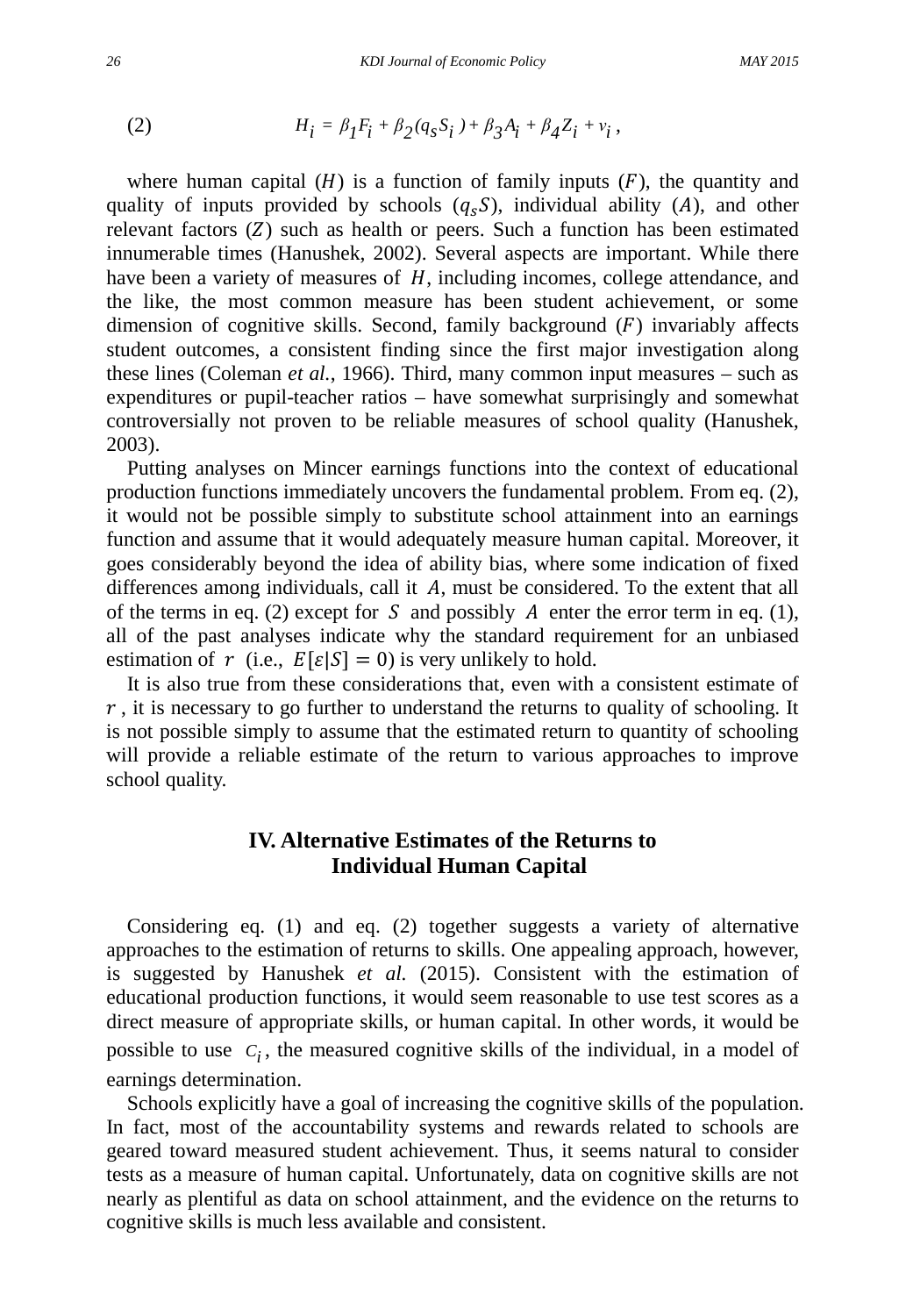(2) 
$$
H_i = \beta_I F_i + \beta_2 (q_s S_i) + \beta_3 A_i + \beta_4 Z_i + v_i,
$$

where human capital  $(H)$  is a function of family inputs  $(F)$ , the quantity and quality of inputs provided by schools  $(q_sS)$ , individual ability (A), and other relevant factors  $(Z)$  such as health or peers. Such a function has been estimated innumerable times (Hanushek, 2002). Several aspects are important. While there have been a variety of measures of  $H$ , including incomes, college attendance, and the like, the most common measure has been student achievement, or some dimension of cognitive skills. Second, family background  $(F)$  invariably affects student outcomes, a consistent finding since the first major investigation along these lines (Coleman *et al.*, 1966). Third, many common input measures – such as expenditures or pupil-teacher ratios – have somewhat surprisingly and somewhat controversially not proven to be reliable measures of school quality (Hanushek, 2003).

Putting analyses on Mincer earnings functions into the context of educational production functions immediately uncovers the fundamental problem. From eq. (2), it would not be possible simply to substitute school attainment into an earnings function and assume that it would adequately measure human capital. Moreover, it goes considerably beyond the idea of ability bias, where some indication of fixed differences among individuals, call it  $A$ , must be considered. To the extent that all of the terms in eq. (2) except for  $S$  and possibly  $A$  enter the error term in eq. (1), all of the past analyses indicate why the standard requirement for an unbiased estimation of r (i.e.,  $E[\varepsilon|S] = 0$ ) is very unlikely to hold.

It is also true from these considerations that, even with a consistent estimate of  $r$ , it is necessary to go further to understand the returns to quality of schooling. It is not possible simply to assume that the estimated return to quantity of schooling will provide a reliable estimate of the return to various approaches to improve school quality.

# **IV. Alternative Estimates of the Returns to Individual Human Capital**

Considering eq. (1) and eq. (2) together suggests a variety of alternative approaches to the estimation of returns to skills. One appealing approach, however, is suggested by Hanushek *et al.* (2015). Consistent with the estimation of educational production functions, it would seem reasonable to use test scores as a direct measure of appropriate skills, or human capital. In other words, it would be possible to use  $C_i$ , the measured cognitive skills of the individual, in a model of earnings determination.

Schools explicitly have a goal of increasing the cognitive skills of the population. In fact, most of the accountability systems and rewards related to schools are geared toward measured student achievement. Thus, it seems natural to consider tests as a measure of human capital. Unfortunately, data on cognitive skills are not nearly as plentiful as data on school attainment, and the evidence on the returns to cognitive skills is much less available and consistent.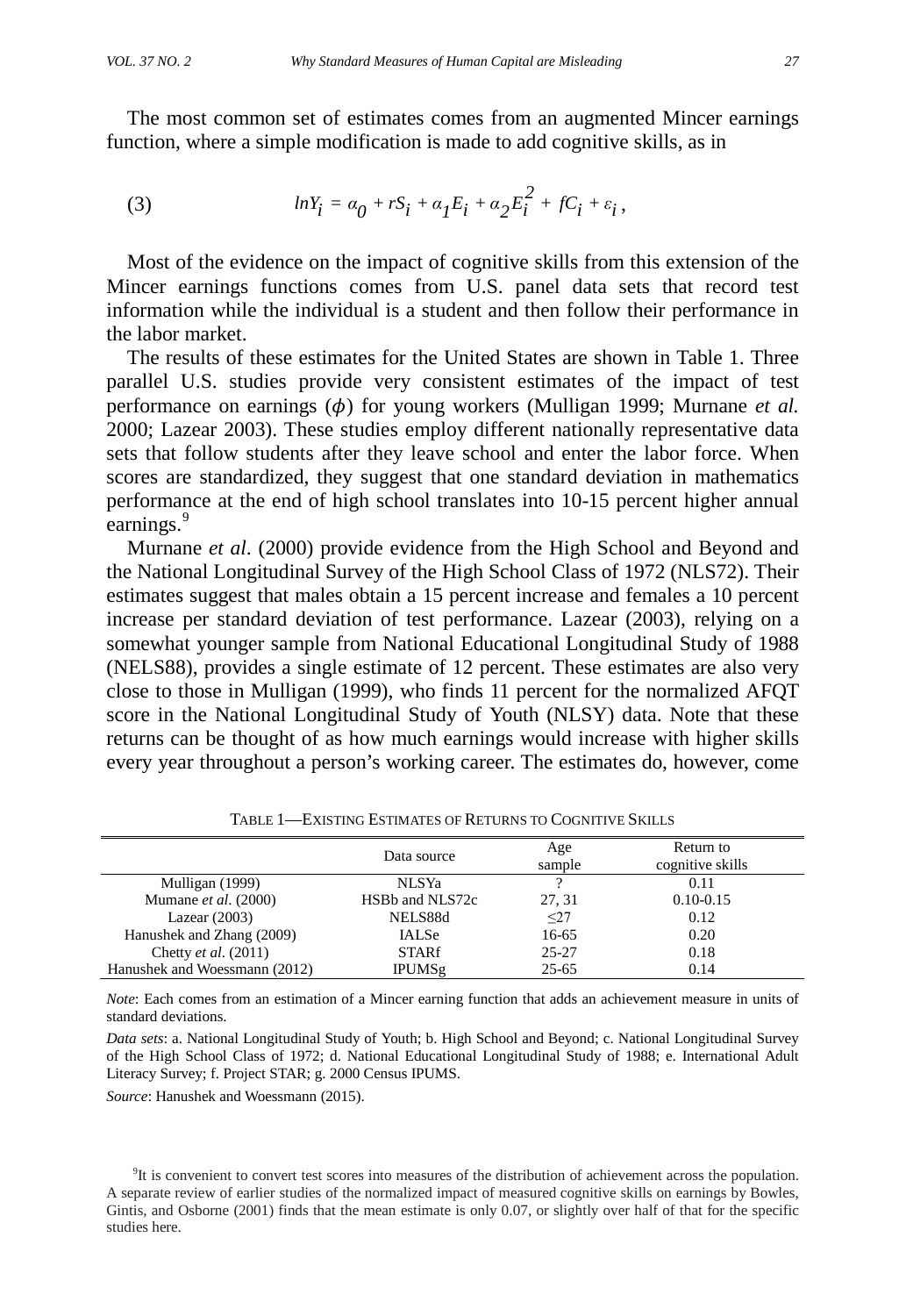The most common set of estimates comes from an augmented Mincer earnings function, where a simple modification is made to add cognitive skills, as in

(3) 
$$
lnY_i = \alpha_0 + rS_i + \alpha_1 E_i + \alpha_2 E_i^2 + fC_i + \varepsilon_i,
$$

Most of the evidence on the impact of cognitive skills from this extension of the Mincer earnings functions comes from U.S. panel data sets that record test information while the individual is a student and then follow their performance in the labor market.

The results of these estimates for the United States are shown in Table 1. Three parallel U.S. studies provide very consistent estimates of the impact of test performance on earnings  $(\phi)$  for young workers (Mulligan 1999; Murnane *et al.*) 2000; Lazear 2003). These studies employ different nationally representative data sets that follow students after they leave school and enter the labor force. When scores are standardized, they suggest that one standard deviation in mathematics performance at the end of high school translates into 10-15 percent higher annual earnings.<sup>[9](#page-5-0)</sup>

Murnane *et al*. (2000) provide evidence from the High School and Beyond and the National Longitudinal Survey of the High School Class of 1972 (NLS72). Their estimates suggest that males obtain a 15 percent increase and females a 10 percent increase per standard deviation of test performance. Lazear (2003), relying on a somewhat younger sample from National Educational Longitudinal Study of 1988 (NELS88), provides a single estimate of 12 percent. These estimates are also very close to those in Mulligan (1999), who finds 11 percent for the normalized AFQT score in the National Longitudinal Study of Youth (NLSY) data. Note that these returns can be thought of as how much earnings would increase with higher skills every year throughout a person's working career. The estimates do, however, come

|                               | Data source     | Age<br>sample | Return to<br>cognitive skills |
|-------------------------------|-----------------|---------------|-------------------------------|
| Mulligan (1999)               | NLSYa           |               | 0.11                          |
| Mumane et al. (2000)          | HSBb and NLS72c | 27.31         | $0.10 - 0.15$                 |
| Lazear $(2003)$               | NELS88d         | $\leq$ 27     | 0.12                          |
| Hanushek and Zhang (2009)     | <b>IALSe</b>    | 16-65         | 0.20                          |
| Chetty et al. (2011)          | <b>STARf</b>    | $25 - 27$     | 0.18                          |
| Hanushek and Woessmann (2012) | <b>IPUMSg</b>   | 25-65         | 0.14                          |

TABLE 1—EXISTING ESTIMATES OF RETURNS TO COGNITIVE SKILLS

*Note*: Each comes from an estimation of a Mincer earning function that adds an achievement measure in units of standard deviations.

*Data sets*: a. National Longitudinal Study of Youth; b. High School and Beyond; c. National Longitudinal Survey of the High School Class of 1972; d. National Educational Longitudinal Study of 1988; e. International Adult Literacy Survey; f. Project STAR; g. 2000 Census IPUMS.

*Source*: Hanushek and Woessmann (2015).

<span id="page-5-0"></span><sup>9</sup>It is convenient to convert test scores into measures of the distribution of achievement across the population. A separate review of earlier studies of the normalized impact of measured cognitive skills on earnings by Bowles, Gintis, and Osborne (2001) finds that the mean estimate is only 0.07, or slightly over half of that for the specific studies here.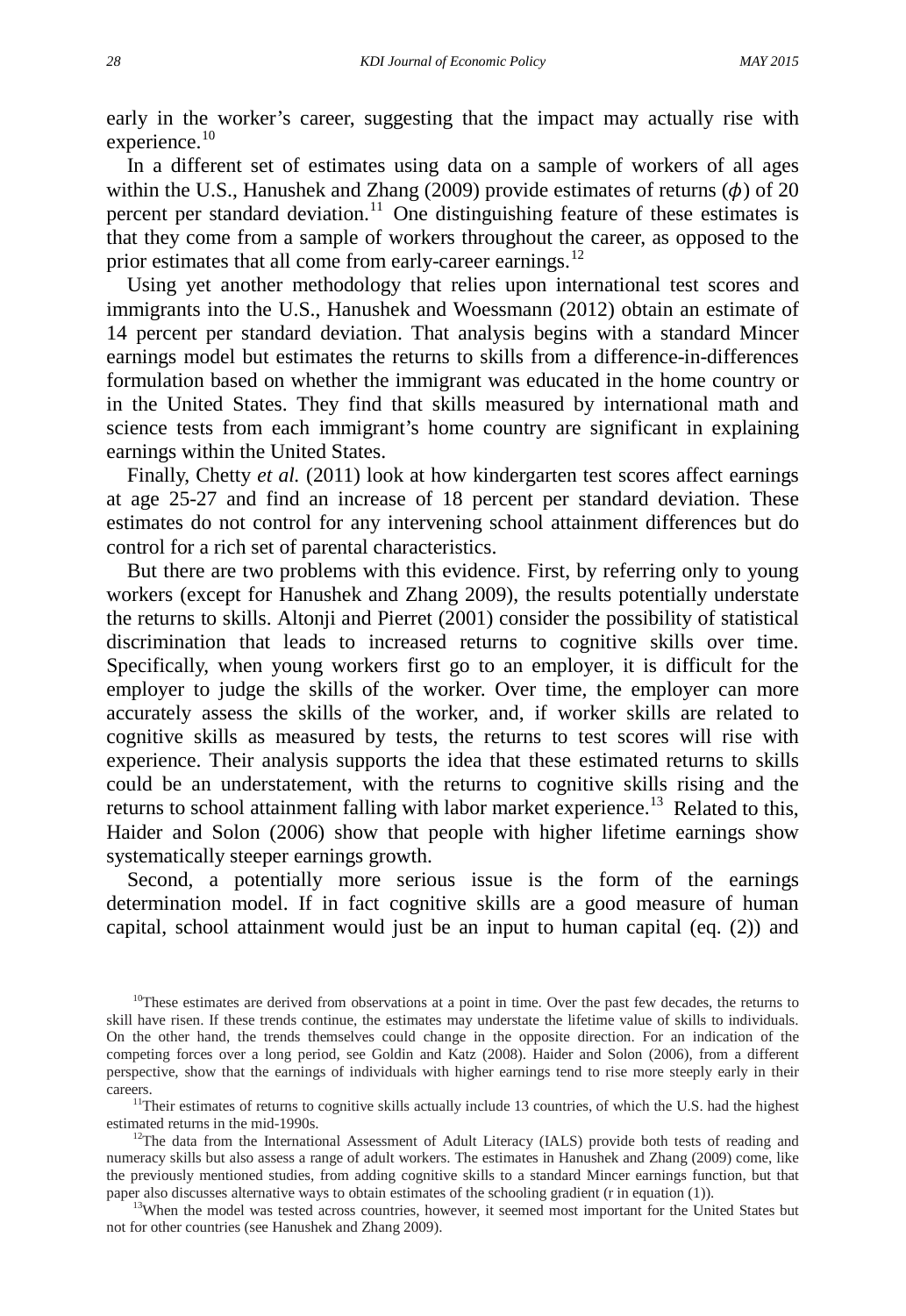early in the worker's career, suggesting that the impact may actually rise with experience.<sup>[10](#page-6-0)</sup>

In a different set of estimates using data on a sample of workers of all ages within the U.S., Hanushek and Zhang (2009) provide estimates of returns  $(\phi)$  of 20 percent per standard deviation.<sup>[11](#page-6-1)</sup> One distinguishing feature of these estimates is that they come from a sample of workers throughout the career, as opposed to the prior estimates that all come from early-career earnings.<sup>[12](#page-6-2)</sup>

Using yet another methodology that relies upon international test scores and immigrants into the U.S., Hanushek and Woessmann (2012) obtain an estimate of 14 percent per standard deviation. That analysis begins with a standard Mincer earnings model but estimates the returns to skills from a difference-in-differences formulation based on whether the immigrant was educated in the home country or in the United States. They find that skills measured by international math and science tests from each immigrant's home country are significant in explaining earnings within the United States.

Finally, Chetty *et al.* (2011) look at how kindergarten test scores affect earnings at age 25-27 and find an increase of 18 percent per standard deviation. These estimates do not control for any intervening school attainment differences but do control for a rich set of parental characteristics.

But there are two problems with this evidence. First, by referring only to young workers (except for Hanushek and Zhang 2009), the results potentially understate the returns to skills. Altonji and Pierret (2001) consider the possibility of statistical discrimination that leads to increased returns to cognitive skills over time. Specifically, when young workers first go to an employer, it is difficult for the employer to judge the skills of the worker. Over time, the employer can more accurately assess the skills of the worker, and, if worker skills are related to cognitive skills as measured by tests, the returns to test scores will rise with experience. Their analysis supports the idea that these estimated returns to skills could be an understatement, with the returns to cognitive skills rising and the returns to school attainment falling with labor market experience.<sup>[13](#page-6-3)</sup> Related to this, Haider and Solon (2006) show that people with higher lifetime earnings show systematically steeper earnings growth.

Second, a potentially more serious issue is the form of the earnings determination model. If in fact cognitive skills are a good measure of human capital, school attainment would just be an input to human capital (eq. (2)) and

<span id="page-6-3"></span><sup>13</sup>When the model was tested across countries, however, it seemed most important for the United States but not for other countries (see Hanushek and Zhang 2009).

<span id="page-6-0"></span><sup>&</sup>lt;sup>10</sup>These estimates are derived from observations at a point in time. Over the past few decades, the returns to skill have risen. If these trends continue, the estimates may understate the lifetime value of skills to individuals. On the other hand, the trends themselves could change in the opposite direction. For an indication of the competing forces over a long period, see Goldin and Katz (2008). Haider and Solon (2006), from a different perspective, show that the earnings of individuals with higher earnings tend to rise more steeply early in their careers.

<span id="page-6-1"></span><sup>&</sup>lt;sup>11</sup>Their estimates of returns to cognitive skills actually include 13 countries, of which the U.S. had the highest estimated returns in the mid-1990s.

<span id="page-6-2"></span><sup>&</sup>lt;sup>12</sup>The data from the International Assessment of Adult Literacy (IALS) provide both tests of reading and numeracy skills but also assess a range of adult workers. The estimates in Hanushek and Zhang (2009) come, like the previously mentioned studies, from adding cognitive skills to a standard Mincer earnings function, but that paper also discusses alternative ways to obtain estimates of the schooling gradient (r in equation (1)).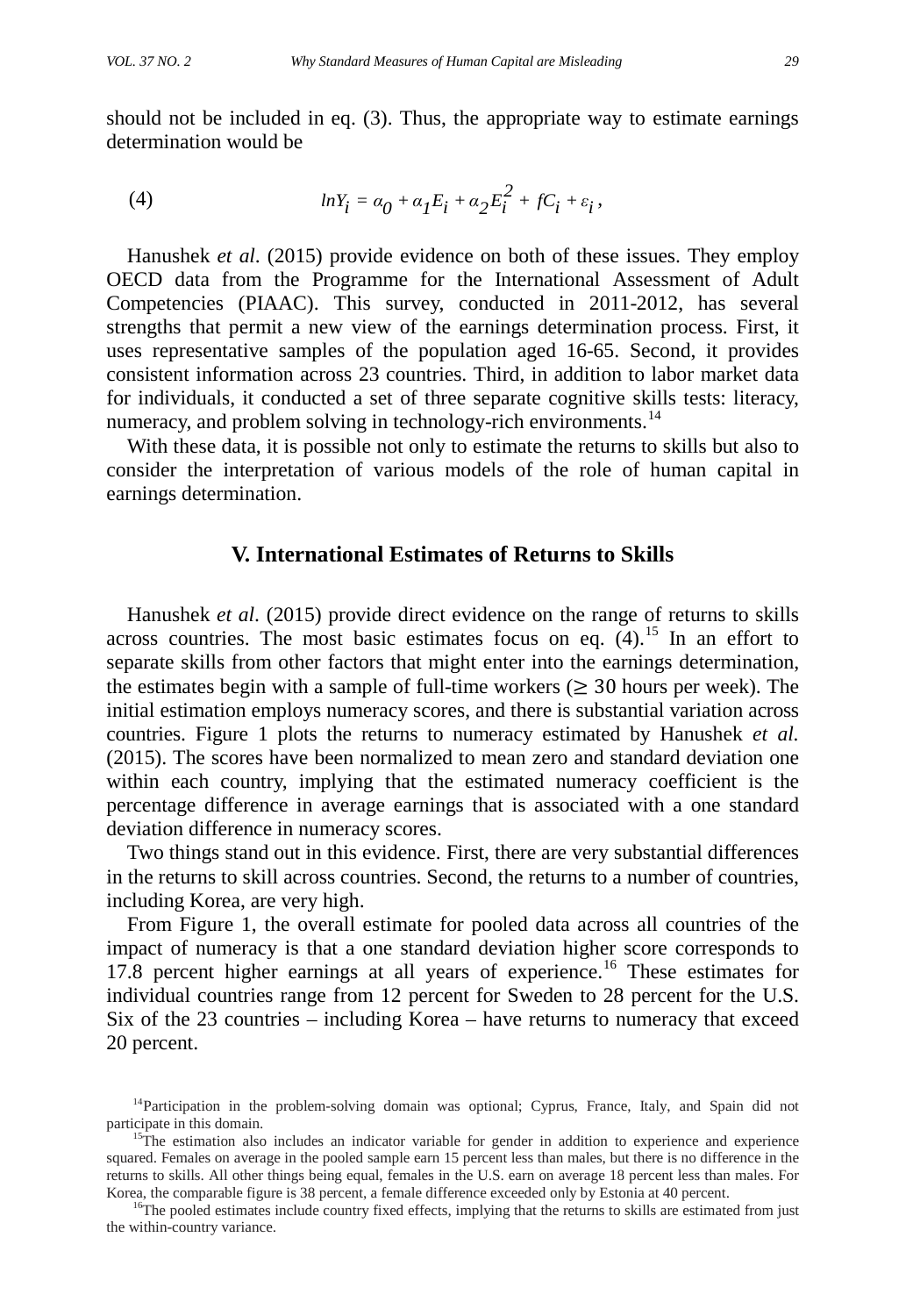should not be included in eq. (3). Thus, the appropriate way to estimate earnings determination would be

(4) 
$$
lnY_i = \alpha_0 + \alpha_1 E_i + \alpha_2 E_i^2 + fC_i + \varepsilon_i,
$$

Hanushek *et al*. (2015) provide evidence on both of these issues. They employ OECD data from the Programme for the International Assessment of Adult Competencies (PIAAC). This survey, conducted in 2011-2012, has several strengths that permit a new view of the earnings determination process. First, it uses representative samples of the population aged 16-65. Second, it provides consistent information across 23 countries. Third, in addition to labor market data for individuals, it conducted a set of three separate cognitive skills tests: literacy, numeracy, and problem solving in technology-rich environments.<sup>[14](#page-7-0)</sup>

With these data, it is possible not only to estimate the returns to skills but also to consider the interpretation of various models of the role of human capital in earnings determination.

# **V. International Estimates of Returns to Skills**

Hanushek *et al*. (2015) provide direct evidence on the range of returns to skills across countries. The most basic estimates focus on eq.  $(4)$ .<sup>[15](#page-7-1)</sup> In an effort to separate skills from other factors that might enter into the earnings determination, the estimates begin with a sample of full-time workers ( $\geq$  30 hours per week). The initial estimation employs numeracy scores, and there is substantial variation across countries. Figure 1 plots the returns to numeracy estimated by Hanushek *et al.* (2015). The scores have been normalized to mean zero and standard deviation one within each country, implying that the estimated numeracy coefficient is the percentage difference in average earnings that is associated with a one standard deviation difference in numeracy scores.

Two things stand out in this evidence. First, there are very substantial differences in the returns to skill across countries. Second, the returns to a number of countries, including Korea, are very high.

From Figure 1, the overall estimate for pooled data across all countries of the impact of numeracy is that a one standard deviation higher score corresponds to 17.8 percent higher earnings at all years of experience.<sup>[16](#page-7-2)</sup> These estimates for individual countries range from 12 percent for Sweden to 28 percent for the U.S. Six of the 23 countries – including Korea – have returns to numeracy that exceed 20 percent.

<span id="page-7-2"></span><sup>16</sup>The pooled estimates include country fixed effects, implying that the returns to skills are estimated from just the within-country variance.

<span id="page-7-0"></span><sup>&</sup>lt;sup>14</sup>Participation in the problem-solving domain was optional; Cyprus, France, Italy, and Spain did not participate in this domain.

<span id="page-7-1"></span><sup>&</sup>lt;sup>15</sup>The estimation also includes an indicator variable for gender in addition to experience and experience squared. Females on average in the pooled sample earn 15 percent less than males, but there is no difference in the returns to skills. All other things being equal, females in the U.S. earn on average 18 percent less than males. For Korea, the comparable figure is 38 percent, a female difference exceeded only by Estonia at 40 percent.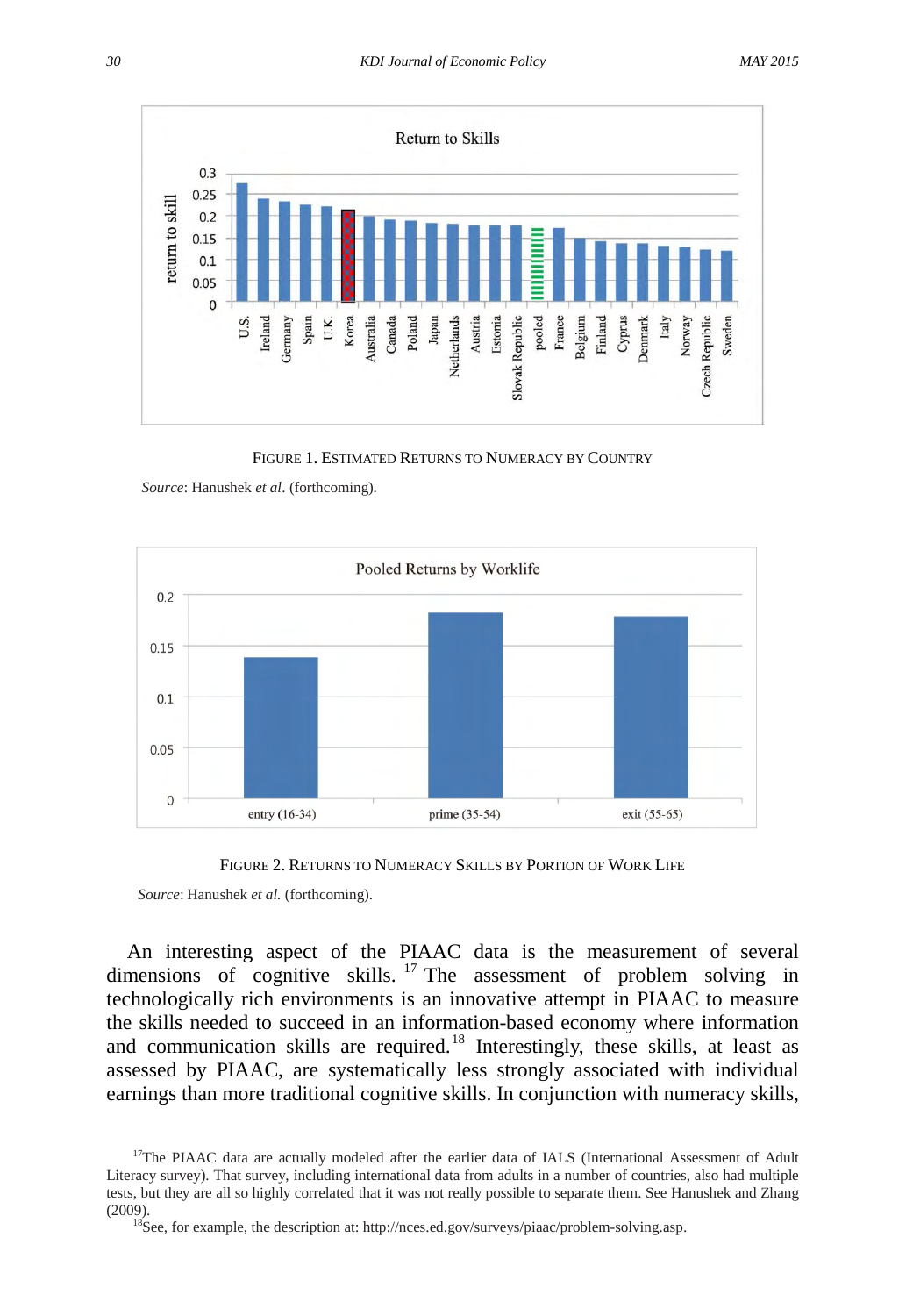

FIGURE 1. ESTIMATED RETURNS TO NUMERACY BY COUNTRY

*Source*: Hanushek *et al*. (forthcoming).





*Source*: Hanushek *et al.* (forthcoming).

An interesting aspect of the PIAAC data is the measurement of several dimensions of cognitive skills. <sup>[17](#page-8-0)</sup> The assessment of problem solving in technologically rich environments is an innovative attempt in PIAAC to measure the skills needed to succeed in an information-based economy where information and communication skills are required.<sup>[18](#page-8-1)</sup> Interestingly, these skills, at least as assessed by PIAAC, are systematically less strongly associated with individual earnings than more traditional cognitive skills. In conjunction with numeracy skills,

<span id="page-8-1"></span><span id="page-8-0"></span><sup>&</sup>lt;sup>17</sup>The PIAAC data are actually modeled after the earlier data of IALS (International Assessment of Adult Literacy survey). That survey, including international data from adults in a number of countries, also had multiple tests, but they are all so highly correlated that it was not really possible to separate them. See Hanushek and Zhang (2009). 18See, for example, the description at[: http://nces.ed.gov/surveys/piaac/problem-solving.asp.](http://nces.ed.gov/surveys/piaac/problem-solving.asp)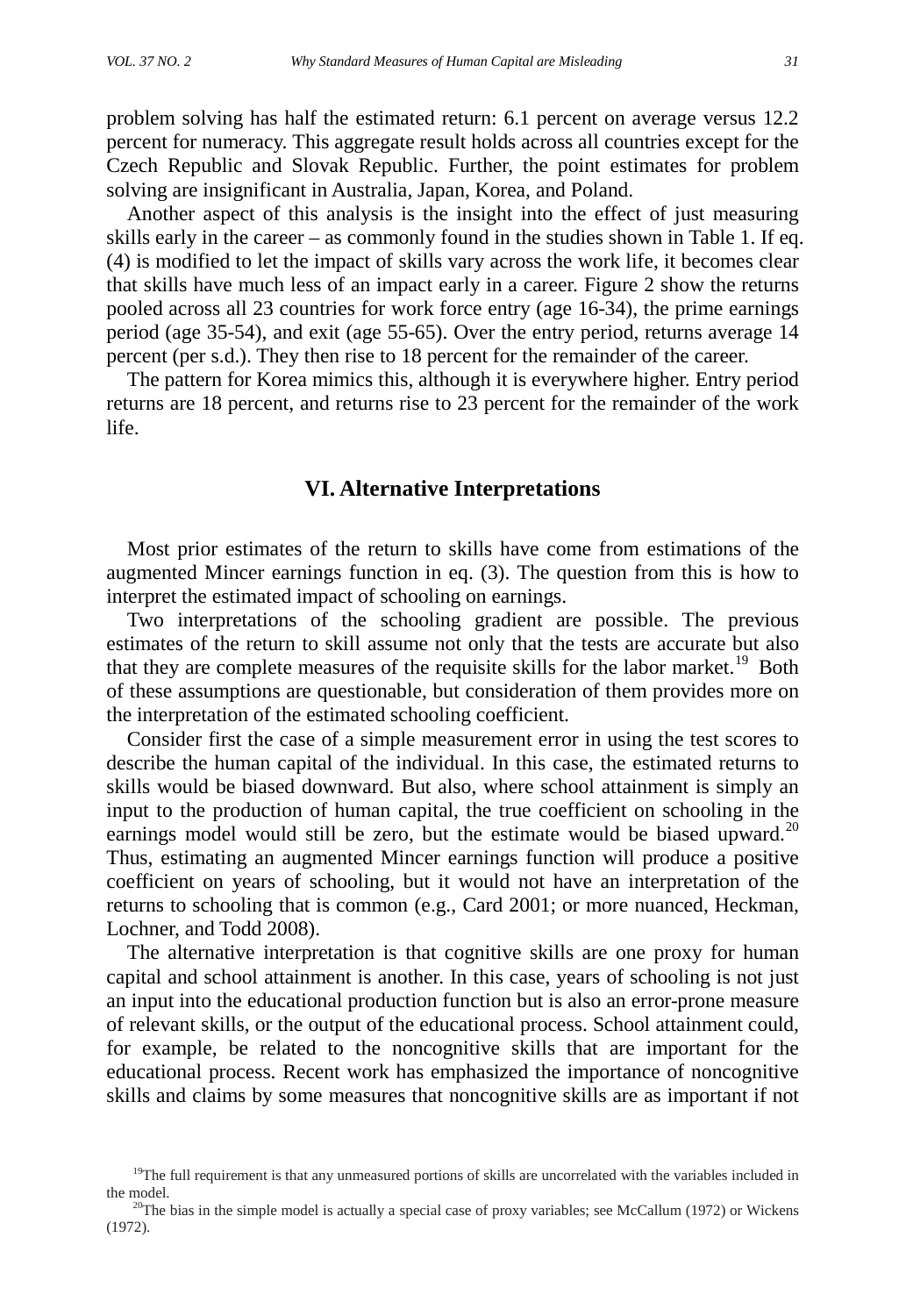problem solving has half the estimated return: 6.1 percent on average versus 12.2 percent for numeracy. This aggregate result holds across all countries except for the Czech Republic and Slovak Republic. Further, the point estimates for problem solving are insignificant in Australia, Japan, Korea, and Poland.

Another aspect of this analysis is the insight into the effect of just measuring skills early in the career – as commonly found in the studies shown in Table 1. If eq. (4) is modified to let the impact of skills vary across the work life, it becomes clear that skills have much less of an impact early in a career. Figure 2 show the returns pooled across all 23 countries for work force entry (age 16-34), the prime earnings period (age 35-54), and exit (age 55-65). Over the entry period, returns average 14 percent (per s.d.). They then rise to 18 percent for the remainder of the career.

The pattern for Korea mimics this, although it is everywhere higher. Entry period returns are 18 percent, and returns rise to 23 percent for the remainder of the work life.

## **VI. Alternative Interpretations**

Most prior estimates of the return to skills have come from estimations of the augmented Mincer earnings function in eq. (3). The question from this is how to interpret the estimated impact of schooling on earnings.

Two interpretations of the schooling gradient are possible. The previous estimates of the return to skill assume not only that the tests are accurate but also that they are complete measures of the requisite skills for the labor market.<sup>[19](#page-9-0)</sup> Both of these assumptions are questionable, but consideration of them provides more on the interpretation of the estimated schooling coefficient.

Consider first the case of a simple measurement error in using the test scores to describe the human capital of the individual. In this case, the estimated returns to skills would be biased downward. But also, where school attainment is simply an input to the production of human capital, the true coefficient on schooling in the earnings model would still be zero, but the estimate would be biased upward. $20$ Thus, estimating an augmented Mincer earnings function will produce a positive coefficient on years of schooling, but it would not have an interpretation of the returns to schooling that is common (e.g., Card 2001; or more nuanced, Heckman, Lochner, and Todd 2008).

The alternative interpretation is that cognitive skills are one proxy for human capital and school attainment is another. In this case, years of schooling is not just an input into the educational production function but is also an error-prone measure of relevant skills, or the output of the educational process. School attainment could, for example, be related to the noncognitive skills that are important for the educational process. Recent work has emphasized the importance of noncognitive skills and claims by some measures that noncognitive skills are as important if not

<span id="page-9-0"></span> $19$ The full requirement is that any unmeasured portions of skills are uncorrelated with the variables included in the model.

<span id="page-9-1"></span> $20$ The bias in the simple model is actually a special case of proxy variables; see McCallum (1972) or Wickens (1972).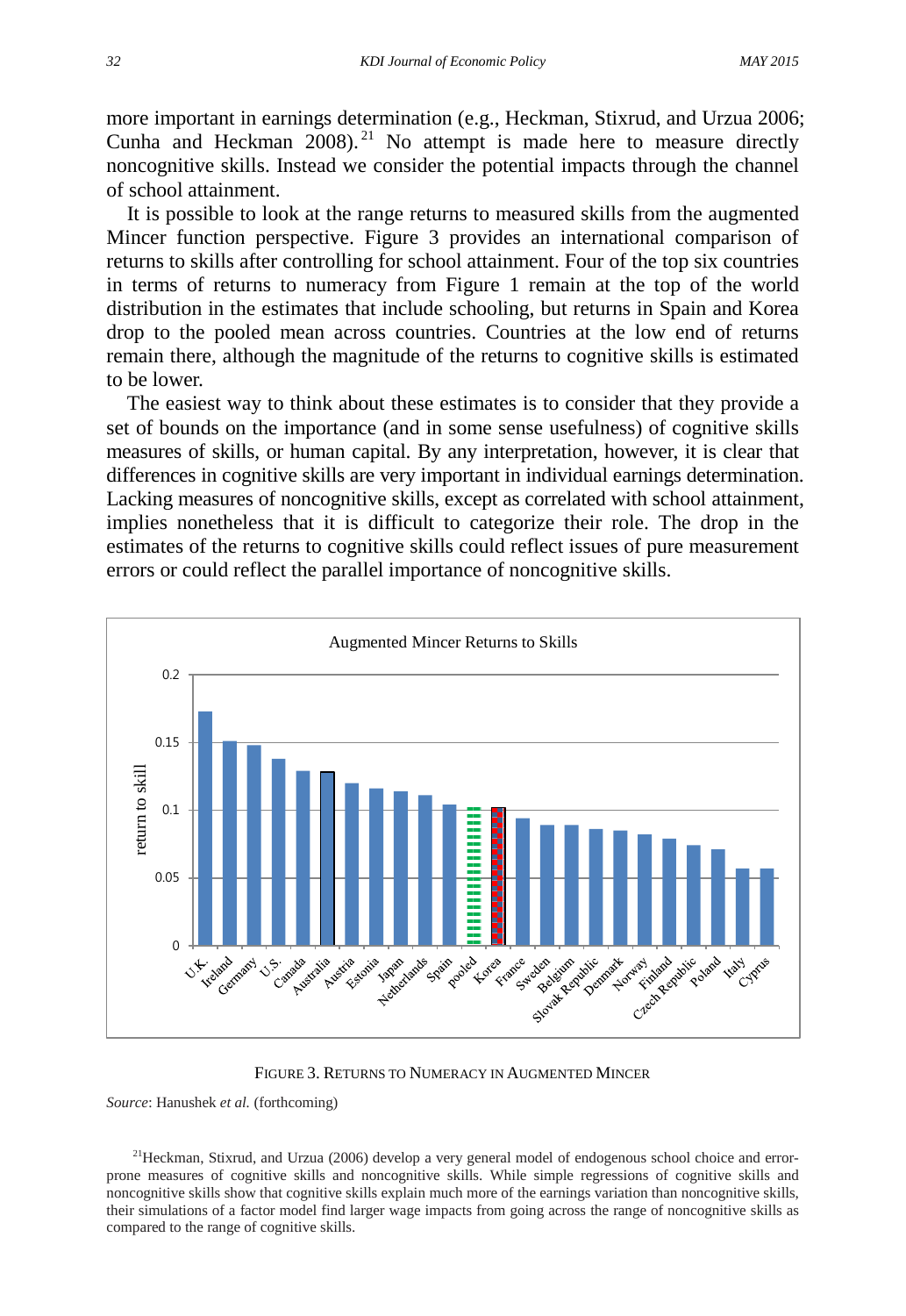more important in earnings determination (e.g., Heckman, Stixrud, and Urzua 2006; Cunha and Heckman  $2008$ .<sup>[21](#page-10-0)</sup> No attempt is made here to measure directly noncognitive skills. Instead we consider the potential impacts through the channel of school attainment.

It is possible to look at the range returns to measured skills from the augmented Mincer function perspective. Figure 3 provides an international comparison of returns to skills after controlling for school attainment. Four of the top six countries in terms of returns to numeracy from Figure 1 remain at the top of the world distribution in the estimates that include schooling, but returns in Spain and Korea drop to the pooled mean across countries. Countries at the low end of returns remain there, although the magnitude of the returns to cognitive skills is estimated to be lower.

The easiest way to think about these estimates is to consider that they provide a set of bounds on the importance (and in some sense usefulness) of cognitive skills measures of skills, or human capital. By any interpretation, however, it is clear that differences in cognitive skills are very important in individual earnings determination. Lacking measures of noncognitive skills, except as correlated with school attainment, implies nonetheless that it is difficult to categorize their role. The drop in the estimates of the returns to cognitive skills could reflect issues of pure measurement errors or could reflect the parallel importance of noncognitive skills.



FIGURE 3. RETURNS TO NUMERACY IN AUGMENTED MINCER

*Source*: Hanushek *et al.* (forthcoming)

<span id="page-10-0"></span><sup>21</sup>Heckman, Stixrud, and Urzua (2006) develop a very general model of endogenous school choice and errorprone measures of cognitive skills and noncognitive skills. While simple regressions of cognitive skills and noncognitive skills show that cognitive skills explain much more of the earnings variation than noncognitive skills, their simulations of a factor model find larger wage impacts from going across the range of noncognitive skills as compared to the range of cognitive skills.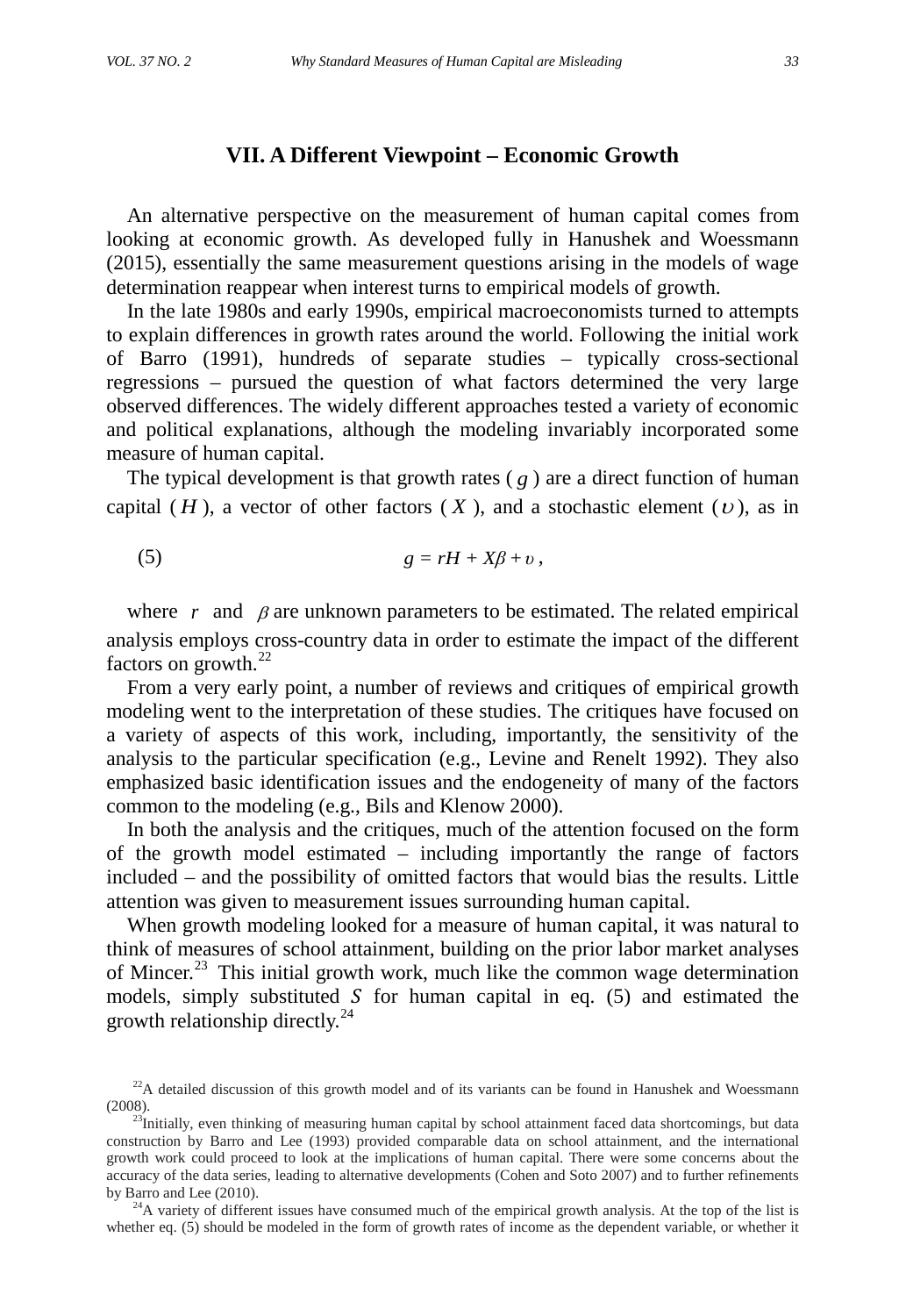An alternative perspective on the measurement of human capital comes from looking at economic growth. As developed fully in Hanushek and Woessmann (2015), essentially the same measurement questions arising in the models of wage determination reappear when interest turns to empirical models of growth.

In the late 1980s and early 1990s, empirical macroeconomists turned to attempts to explain differences in growth rates around the world. Following the initial work of Barro (1991), hundreds of separate studies – typically cross-sectional regressions – pursued the question of what factors determined the very large observed differences. The widely different approaches tested a variety of economic and political explanations, although the modeling invariably incorporated some measure of human capital.

The typical development is that growth rates  $(g)$  are a direct function of human capital  $(H)$ , a vector of other factors  $(X)$ , and a stochastic element  $(U)$ , as in

$$
(5) \t\t\t g=rH+X\beta+v,
$$

where  $r$  and  $\beta$  are unknown parameters to be estimated. The related empirical analysis employs cross-country data in order to estimate the impact of the different factors on growth. $^{22}$  $^{22}$  $^{22}$ 

From a very early point, a number of reviews and critiques of empirical growth modeling went to the interpretation of these studies. The critiques have focused on a variety of aspects of this work, including, importantly, the sensitivity of the analysis to the particular specification (e.g., Levine and Renelt 1992). They also emphasized basic identification issues and the endogeneity of many of the factors common to the modeling (e.g., Bils and Klenow 2000).

In both the analysis and the critiques, much of the attention focused on the form of the growth model estimated – including importantly the range of factors included – and the possibility of omitted factors that would bias the results. Little attention was given to measurement issues surrounding human capital.

When growth modeling looked for a measure of human capital, it was natural to think of measures of school attainment, building on the prior labor market analyses of Mincer.<sup>[23](#page-11-1)</sup> This initial growth work, much like the common wage determination models, simply substituted  $S$  for human capital in eq. (5) and estimated the growth relationship directly. $^{24}$  $^{24}$  $^{24}$ 

<span id="page-11-2"></span> $^{24}$ A variety of different issues have consumed much of the empirical growth analysis. At the top of the list is whether eq. (5) should be modeled in the form of growth rates of income as the dependent variable, or whether it

<span id="page-11-0"></span><sup>&</sup>lt;sup>22</sup>A detailed discussion of this growth model and of its variants can be found in Hanushek and Woessmann (2008).

<span id="page-11-1"></span><sup>&</sup>lt;sup>23</sup>Initially, even thinking of measuring human capital by school attainment faced data shortcomings, but data construction by Barro and Lee (1993) provided comparable data on school attainment, and the international growth work could proceed to look at the implications of human capital. There were some concerns about the accuracy of the data series, leading to alternative developments (Cohen and Soto 2007) and to further refinements by Barro and Lee (2010).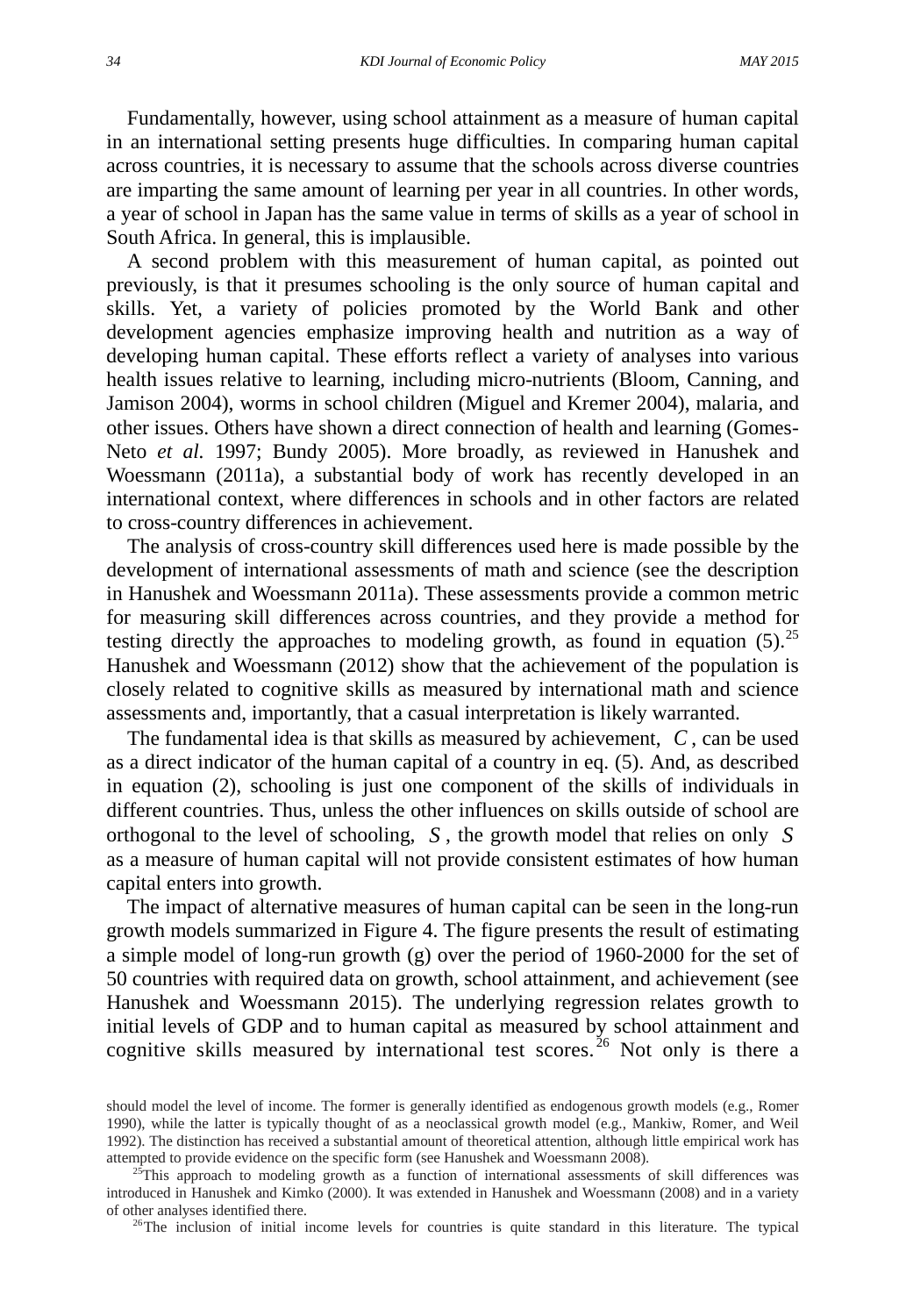Fundamentally, however, using school attainment as a measure of human capital in an international setting presents huge difficulties. In comparing human capital across countries, it is necessary to assume that the schools across diverse countries are imparting the same amount of learning per year in all countries. In other words, a year of school in Japan has the same value in terms of skills as a year of school in South Africa. In general, this is implausible.

A second problem with this measurement of human capital, as pointed out previously, is that it presumes schooling is the only source of human capital and skills. Yet, a variety of policies promoted by the World Bank and other development agencies emphasize improving health and nutrition as a way of developing human capital. These efforts reflect a variety of analyses into various health issues relative to learning, including micro-nutrients (Bloom, Canning, and Jamison 2004), worms in school children (Miguel and Kremer 2004), malaria, and other issues. Others have shown a direct connection of health and learning (Gomes-Neto *et al.* 1997; Bundy 2005). More broadly, as reviewed in Hanushek and Woessmann (2011a), a substantial body of work has recently developed in an international context, where differences in schools and in other factors are related to cross-country differences in achievement.

The analysis of cross-country skill differences used here is made possible by the development of international assessments of math and science (see the description in Hanushek and Woessmann 2011a). These assessments provide a common metric for measuring skill differences across countries, and they provide a method for testing directly the approaches to modeling growth, as found in equation  $(5)$ .<sup>[25](#page-12-0)</sup> Hanushek and Woessmann (2012) show that the achievement of the population is closely related to cognitive skills as measured by international math and science assessments and, importantly, that a casual interpretation is likely warranted.

The fundamental idea is that skills as measured by achievement, *C* , can be used as a direct indicator of the human capital of a country in eq. (5). And, as described in equation (2), schooling is just one component of the skills of individuals in different countries. Thus, unless the other influences on skills outside of school are orthogonal to the level of schooling, *S* , the growth model that relies on only *S* as a measure of human capital will not provide consistent estimates of how human capital enters into growth.

The impact of alternative measures of human capital can be seen in the long-run growth models summarized in Figure 4. The figure presents the result of estimating a simple model of long-run growth (g) over the period of 1960-2000 for the set of 50 countries with required data on growth, school attainment, and achievement (see Hanushek and Woessmann 2015). The underlying regression relates growth to initial levels of GDP and to human capital as measured by school attainment and cognitive skills measured by international test scores.<sup>[26](#page-12-1)</sup> Not only is there a

should model the level of income. The former is generally identified as endogenous growth models (e.g., Romer 1990), while the latter is typically thought of as a neoclassical growth model (e.g., Mankiw, Romer, and Weil 1992). The distinction has received a substantial amount of theoretical attention, although little empirical work has attempted to provide evidence on the specific form (see Hanushek and Woessmann 2008). 25This approach to modeling growth as a function of international assessments of skill differences was

<span id="page-12-1"></span><span id="page-12-0"></span>introduced in Hanushek and Kimko (2000). It was extended in Hanushek and Woessmann (2008) and in a variety of other analyses identified there.<br><sup>26</sup>The inclusion of initial income levels for countries is quite standard in this literature. The typical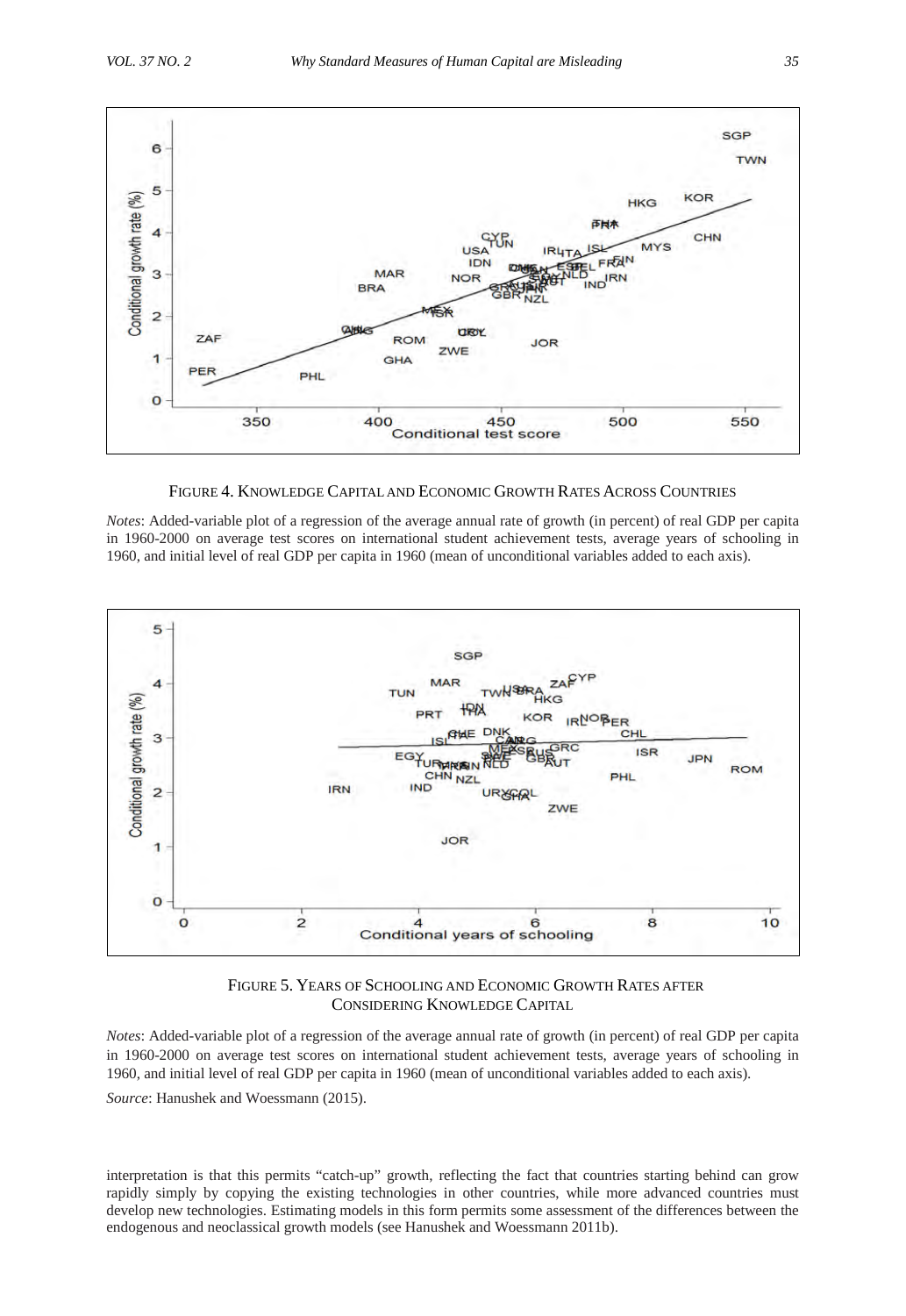

FIGURE 4. KNOWLEDGE CAPITAL AND ECONOMIC GROWTH RATES ACROSS COUNTRIES

*Notes*: Added-variable plot of a regression of the average annual rate of growth (in percent) of real GDP per capita in 1960-2000 on average test scores on international student achievement tests, average years of schooling in 1960, and initial level of real GDP per capita in 1960 (mean of unconditional variables added to each axis).



FIGURE 5. YEARS OF SCHOOLING AND ECONOMIC GROWTH RATES AFTER CONSIDERING KNOWLEDGE CAPITAL

*Notes*: Added-variable plot of a regression of the average annual rate of growth (in percent) of real GDP per capita in 1960-2000 on average test scores on international student achievement tests, average years of schooling in 1960, and initial level of real GDP per capita in 1960 (mean of unconditional variables added to each axis). *Source*: Hanushek and Woessmann (2015).

interpretation is that this permits "catch-up" growth, reflecting the fact that countries starting behind can grow rapidly simply by copying the existing technologies in other countries, while more advanced countries must develop new technologies. Estimating models in this form permits some assessment of the differences between the endogenous and neoclassical growth models (see Hanushek and Woessmann 2011b).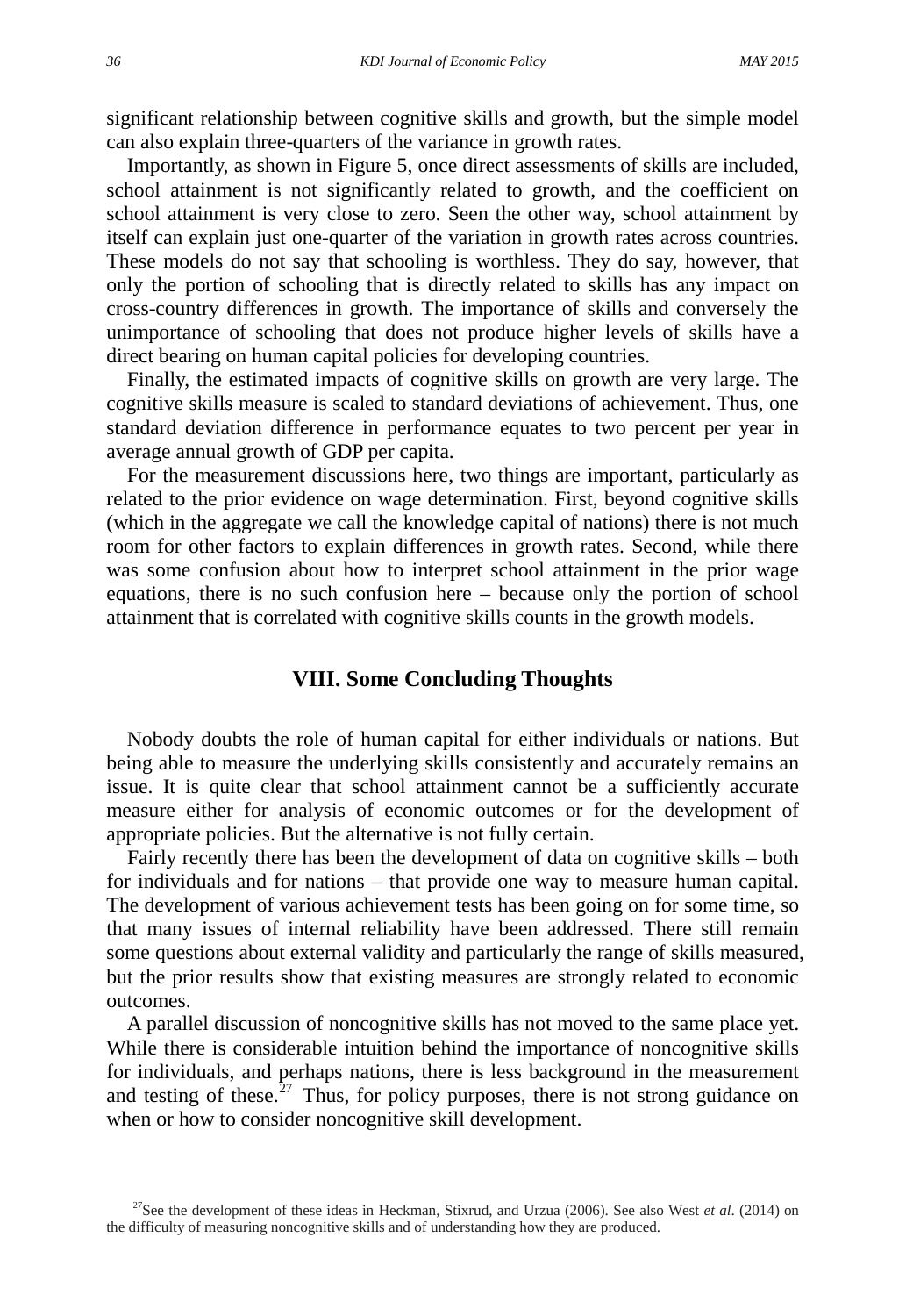significant relationship between cognitive skills and growth, but the simple model can also explain three-quarters of the variance in growth rates.

Importantly, as shown in Figure 5, once direct assessments of skills are included, school attainment is not significantly related to growth, and the coefficient on school attainment is very close to zero. Seen the other way, school attainment by itself can explain just one-quarter of the variation in growth rates across countries. These models do not say that schooling is worthless. They do say, however, that only the portion of schooling that is directly related to skills has any impact on cross-country differences in growth. The importance of skills and conversely the unimportance of schooling that does not produce higher levels of skills have a direct bearing on human capital policies for developing countries.

Finally, the estimated impacts of cognitive skills on growth are very large. The cognitive skills measure is scaled to standard deviations of achievement. Thus, one standard deviation difference in performance equates to two percent per year in average annual growth of GDP per capita.

For the measurement discussions here, two things are important, particularly as related to the prior evidence on wage determination. First, beyond cognitive skills (which in the aggregate we call the knowledge capital of nations) there is not much room for other factors to explain differences in growth rates. Second, while there was some confusion about how to interpret school attainment in the prior wage equations, there is no such confusion here – because only the portion of school attainment that is correlated with cognitive skills counts in the growth models.

## **VIII. Some Concluding Thoughts**

Nobody doubts the role of human capital for either individuals or nations. But being able to measure the underlying skills consistently and accurately remains an issue. It is quite clear that school attainment cannot be a sufficiently accurate measure either for analysis of economic outcomes or for the development of appropriate policies. But the alternative is not fully certain.

Fairly recently there has been the development of data on cognitive skills – both for individuals and for nations – that provide one way to measure human capital. The development of various achievement tests has been going on for some time, so that many issues of internal reliability have been addressed. There still remain some questions about external validity and particularly the range of skills measured, but the prior results show that existing measures are strongly related to economic outcomes.

A parallel discussion of noncognitive skills has not moved to the same place yet. While there is considerable intuition behind the importance of noncognitive skills for individuals, and perhaps nations, there is less background in the measurement and testing of these.<sup>[27](#page-14-0)</sup> Thus, for policy purposes, there is not strong guidance on when or how to consider noncognitive skill development.

<span id="page-14-0"></span><sup>27</sup>See the development of these ideas in Heckman, Stixrud, and Urzua (2006). See also West *et al*. (2014) on the difficulty of measuring noncognitive skills and of understanding how they are produced.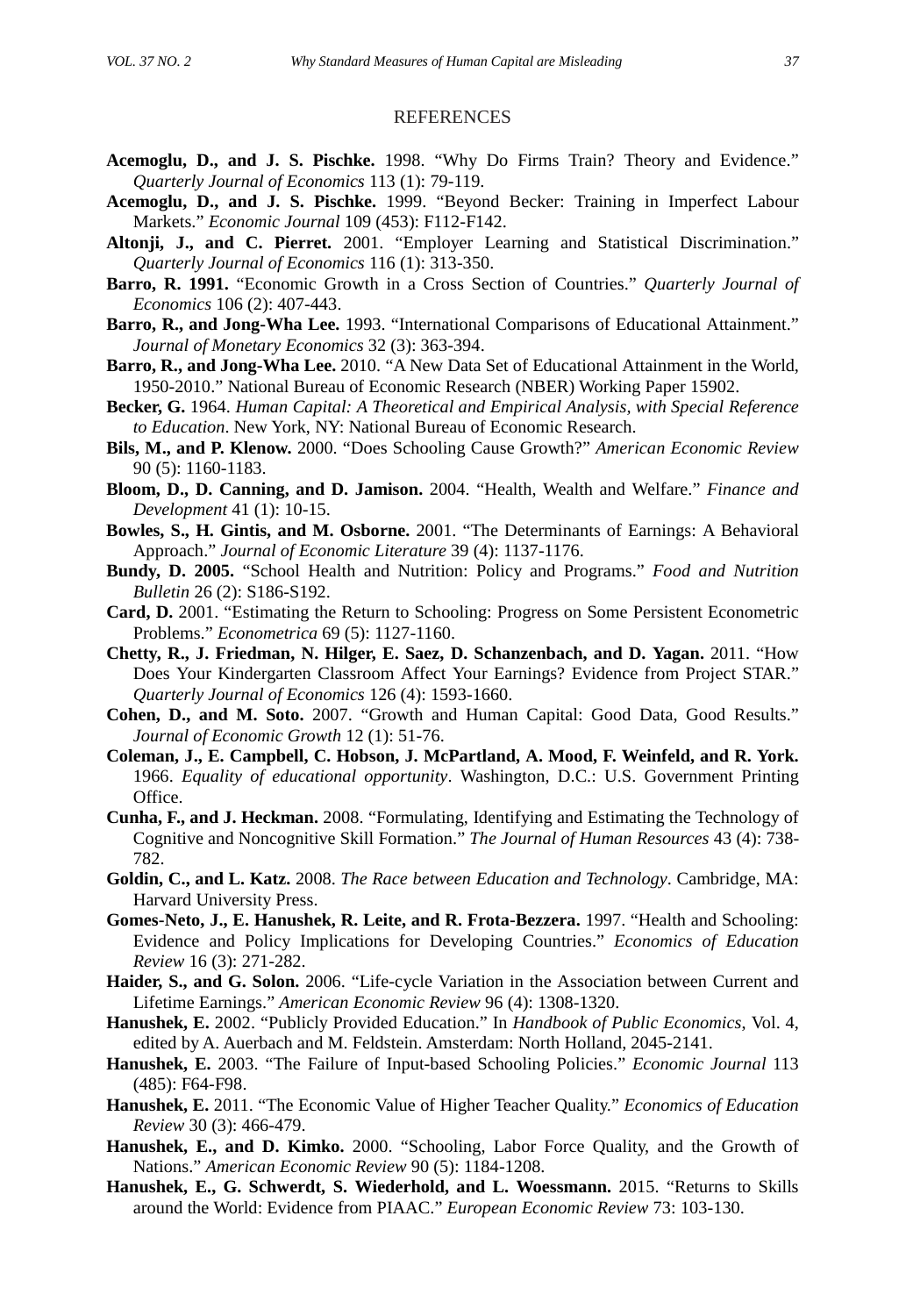#### **REFERENCES**

- **Acemoglu, D., and J. S. Pischke.** 1998. "Why Do Firms Train? Theory and Evidence." *Quarterly Journal of Economics* 113 (1): 79-119.
- **Acemoglu, D., and J. S. Pischke.** 1999. "Beyond Becker: Training in Imperfect Labour Markets." *Economic Journal* 109 (453): F112-F142.
- **Altonji, J., and C. Pierret.** 2001. "Employer Learning and Statistical Discrimination." *Quarterly Journal of Economics* 116 (1): 313-350.
- **Barro, R. 1991.** "Economic Growth in a Cross Section of Countries." *Quarterly Journal of Economics* 106 (2): 407-443.
- **Barro, R., and Jong-Wha Lee.** 1993. "International Comparisons of Educational Attainment." *Journal of Monetary Economics* 32 (3): 363-394.
- **Barro, R., and Jong-Wha Lee.** 2010. "A New Data Set of Educational Attainment in the World, 1950-2010." National Bureau of Economic Research (NBER) Working Paper 15902.
- **Becker, G.** 1964. *Human Capital: A Theoretical and Empirical Analysis, with Special Reference to Education*. New York, NY: National Bureau of Economic Research.
- **Bils, M., and P. Klenow.** 2000. "Does Schooling Cause Growth?" *American Economic Review* 90 (5): 1160-1183.
- **Bloom, D., D. Canning, and D. Jamison.** 2004. "Health, Wealth and Welfare." *Finance and Development* 41 (1): 10-15.
- **Bowles, S., H. Gintis, and M. Osborne.** 2001. "The Determinants of Earnings: A Behavioral Approach." *Journal of Economic Literature* 39 (4): 1137-1176.
- **Bundy, D. 2005.** "School Health and Nutrition: Policy and Programs." *Food and Nutrition Bulletin* 26 (2): S186-S192.
- **Card, D.** 2001. "Estimating the Return to Schooling: Progress on Some Persistent Econometric Problems." *Econometrica* 69 (5): 1127-1160.
- **Chetty, R., J. Friedman, N. Hilger, E. Saez, D. Schanzenbach, and D. Yagan.** 2011. "How Does Your Kindergarten Classroom Affect Your Earnings? Evidence from Project STAR." *Quarterly Journal of Economics* 126 (4): 1593-1660.
- **Cohen, D., and M. Soto.** 2007. "Growth and Human Capital: Good Data, Good Results." *Journal of Economic Growth* 12 (1): 51-76.
- **Coleman, J., E. Campbell, C. Hobson, J. McPartland, A. Mood, F. Weinfeld, and R. York.** 1966. *Equality of educational opportunity*. Washington, D.C.: U.S. Government Printing Office.
- **Cunha, F., and J. Heckman.** 2008. "Formulating, Identifying and Estimating the Technology of Cognitive and Noncognitive Skill Formation." *The Journal of Human Resources* 43 (4): 738- 782.
- **Goldin, C., and L. Katz.** 2008. *The Race between Education and Technology*. Cambridge, MA: Harvard University Press.
- **Gomes-Neto, J., E. Hanushek, R. Leite, and R. Frota-Bezzera.** 1997. "Health and Schooling: Evidence and Policy Implications for Developing Countries." *Economics of Education Review* 16 (3): 271-282.
- **Haider, S., and G. Solon.** 2006. "Life-cycle Variation in the Association between Current and Lifetime Earnings." *American Economic Review* 96 (4): 1308-1320.
- **Hanushek, E.** 2002. "Publicly Provided Education." In *Handbook of Public Economics*, Vol. 4, edited by A. Auerbach and M. Feldstein. Amsterdam: North Holland, 2045-2141.
- **Hanushek, E.** 2003. "The Failure of Input-based Schooling Policies." *Economic Journal* 113 (485): F64-F98.
- **Hanushek, E.** 2011. "The Economic Value of Higher Teacher Quality." *Economics of Education Review* 30 (3): 466-479.
- **Hanushek, E., and D. Kimko.** 2000. "Schooling, Labor Force Quality, and the Growth of Nations." *American Economic Review* 90 (5): 1184-1208.
- **Hanushek, E., G. Schwerdt, S. Wiederhold, and L. Woessmann.** 2015. "Returns to Skills around the World: Evidence from PIAAC." *European Economic Review* 73: 103-130.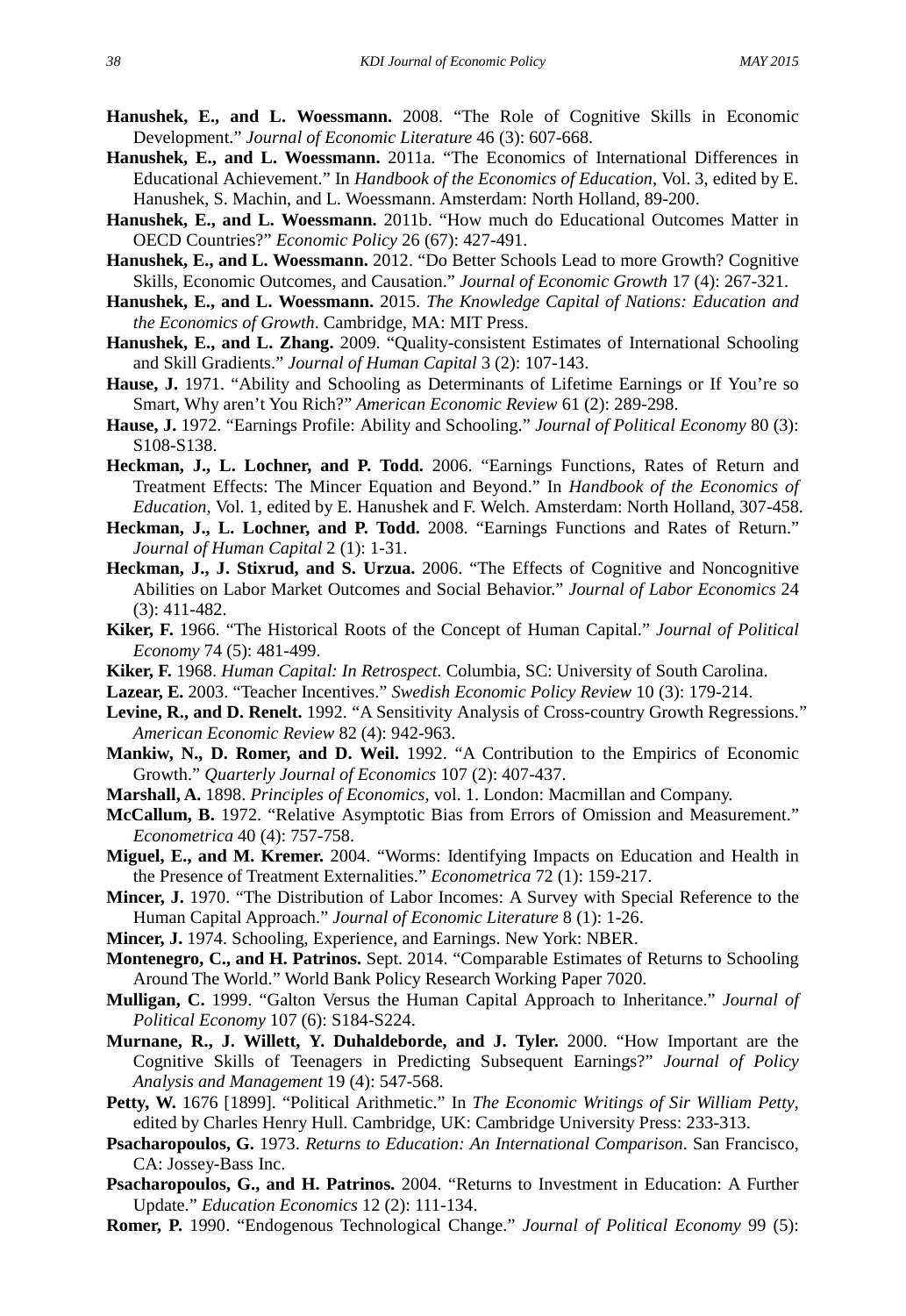- **Hanushek, E., and L. Woessmann.** 2008. "The Role of Cognitive Skills in Economic Development." *Journal of Economic Literature* 46 (3): 607-668.
- **Hanushek, E., and L. Woessmann.** 2011a. "The Economics of International Differences in Educational Achievement." In *Handbook of the Economics of Education*, Vol. 3, edited by E. Hanushek, S. Machin, and L. Woessmann. Amsterdam: North Holland, 89-200.
- **Hanushek, E., and L. Woessmann.** 2011b. "How much do Educational Outcomes Matter in OECD Countries?" *Economic Policy* 26 (67): 427-491.
- **Hanushek, E., and L. Woessmann.** 2012. "Do Better Schools Lead to more Growth? Cognitive Skills, Economic Outcomes, and Causation." *Journal of Economic Growth* 17 (4): 267-321.
- **Hanushek, E., and L. Woessmann.** 2015. *The Knowledge Capital of Nations: Education and the Economics of Growth*. Cambridge, MA: MIT Press.
- **Hanushek, E., and L. Zhang.** 2009. "Quality-consistent Estimates of International Schooling and Skill Gradients." *Journal of Human Capital* 3 (2): 107-143.
- **Hause, J.** 1971. "Ability and Schooling as Determinants of Lifetime Earnings or If You're so Smart, Why aren't You Rich?" *American Economic Review* 61 (2): 289-298.
- **Hause, J.** 1972. "Earnings Profile: Ability and Schooling." *Journal of Political Economy* 80 (3): S108-S138.
- **Heckman, J., L. Lochner, and P. Todd.** 2006. "Earnings Functions, Rates of Return and Treatment Effects: The Mincer Equation and Beyond." In *Handbook of the Economics of Education*, Vol. 1, edited by E. Hanushek and F. Welch. Amsterdam: North Holland, 307-458.
- **Heckman, J., L. Lochner, and P. Todd.** 2008. "Earnings Functions and Rates of Return." *Journal of Human Capital* 2 (1): 1-31.
- **Heckman, J., J. Stixrud, and S. Urzua.** 2006. "The Effects of Cognitive and Noncognitive Abilities on Labor Market Outcomes and Social Behavior." *Journal of Labor Economics* 24 (3): 411-482.
- **Kiker, F.** 1966. "The Historical Roots of the Concept of Human Capital." *Journal of Political Economy* 74 (5): 481-499.
- **Kiker, F.** 1968. *Human Capital: In Retrospect*. Columbia, SC: University of South Carolina.
- **Lazear, E.** 2003. "Teacher Incentives." *Swedish Economic Policy Review* 10 (3): 179-214.
- **Levine, R., and D. Renelt.** 1992. "A Sensitivity Analysis of Cross-country Growth Regressions." *American Economic Review* 82 (4): 942-963.
- **Mankiw, N., D. Romer, and D. Weil.** 1992. "A Contribution to the Empirics of Economic Growth." *Quarterly Journal of Economics* 107 (2): 407-437.
- **Marshall, A.** 1898. *Principles of Economics*, vol. 1. London: Macmillan and Company.
- **McCallum, B.** 1972. "Relative Asymptotic Bias from Errors of Omission and Measurement." *Econometrica* 40 (4): 757-758.
- **Miguel, E., and M. Kremer.** 2004. "Worms: Identifying Impacts on Education and Health in the Presence of Treatment Externalities." *Econometrica* 72 (1): 159-217.
- **Mincer, J.** 1970. "The Distribution of Labor Incomes: A Survey with Special Reference to the Human Capital Approach." *Journal of Economic Literature* 8 (1): 1-26.
- **Mincer, J.** 1974. Schooling, Experience, and Earnings. New York: NBER.
- **Montenegro, C., and H. Patrinos.** Sept. 2014. "Comparable Estimates of Returns to Schooling Around The World." World Bank Policy Research Working Paper 7020.
- **Mulligan, C.** 1999. "Galton Versus the Human Capital Approach to Inheritance." *Journal of Political Economy* 107 (6): S184-S224.
- **Murnane, R., J. Willett, Y. Duhaldeborde, and J. Tyler.** 2000. "How Important are the Cognitive Skills of Teenagers in Predicting Subsequent Earnings?" *Journal of Policy Analysis and Management* 19 (4): 547-568.
- **Petty, W.** 1676 [1899]. "Political Arithmetic." In *The Economic Writings of Sir William Petty*, edited by Charles Henry Hull. Cambridge, UK: Cambridge University Press: 233-313.
- **Psacharopoulos, G.** 1973. *Returns to Education: An International Comparison*. San Francisco, CA: Jossey-Bass Inc.
- **Psacharopoulos, G., and H. Patrinos.** 2004. "Returns to Investment in Education: A Further Update." *Education Economics* 12 (2): 111-134.
- **Romer, P.** 1990. "Endogenous Technological Change." *Journal of Political Economy* 99 (5):